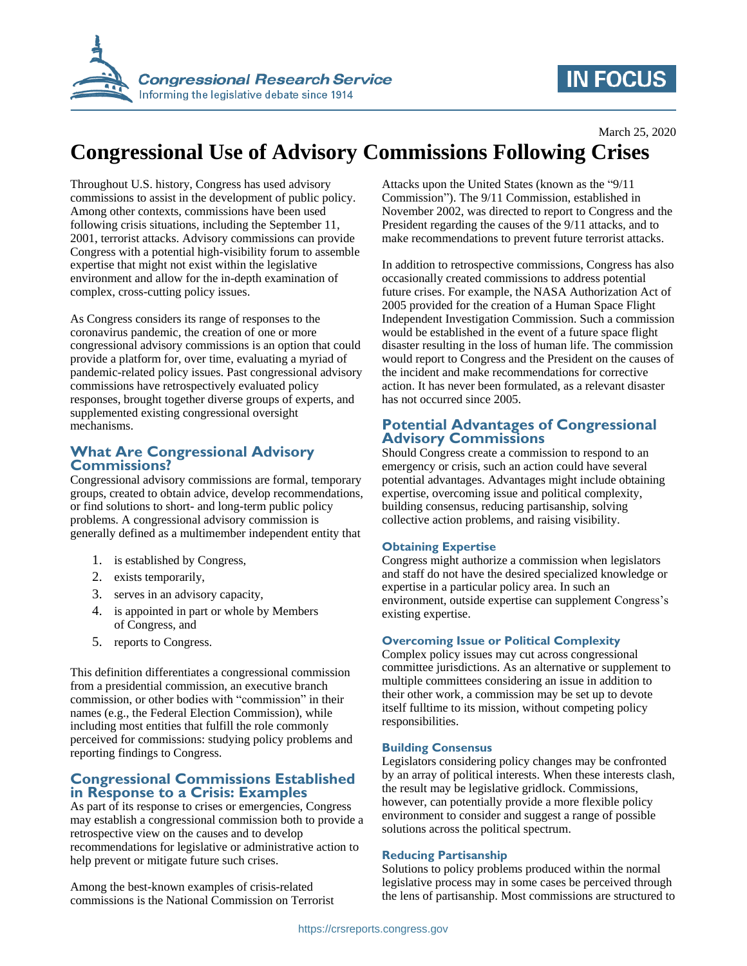

# **IN FOCUS**

March 25, 2020

# **Congressional Use of Advisory Commissions Following Crises**

Throughout U.S. history, Congress has used advisory commissions to assist in the development of public policy. Among other contexts, commissions have been used following crisis situations, including the September 11, 2001, terrorist attacks. Advisory commissions can provide Congress with a potential high-visibility forum to assemble expertise that might not exist within the legislative environment and allow for the in-depth examination of complex, cross-cutting policy issues.

As Congress considers its range of responses to the coronavirus pandemic, the creation of one or more congressional advisory commissions is an option that could provide a platform for, over time, evaluating a myriad of pandemic-related policy issues. Past congressional advisory commissions have retrospectively evaluated policy responses, brought together diverse groups of experts, and supplemented existing congressional oversight mechanisms.

# **What Are Congressional Advisory Commissions?**

Congressional advisory commissions are formal, temporary groups, created to obtain advice, develop recommendations, or find solutions to short- and long-term public policy problems. A congressional advisory commission is generally defined as a multimember independent entity that

- 1. is established by Congress,
- 2. exists temporarily,
- 3. serves in an advisory capacity,
- 4. is appointed in part or whole by Members of Congress, and
- 5. reports to Congress.

This definition differentiates a congressional commission from a presidential commission, an executive branch commission, or other bodies with "commission" in their names (e.g., the Federal Election Commission), while including most entities that fulfill the role commonly perceived for commissions: studying policy problems and reporting findings to Congress.

# **Congressional Commissions Established in Response to a Crisis: Examples**

As part of its response to crises or emergencies, Congress may establish a congressional commission both to provide a retrospective view on the causes and to develop recommendations for legislative or administrative action to help prevent or mitigate future such crises.

Among the best-known examples of crisis-related commissions is the National Commission on Terrorist Attacks upon the United States (known as the "9/11 Commission"). The 9/11 Commission, established in November 2002, was directed to report to Congress and the President regarding the causes of the 9/11 attacks, and to make recommendations to prevent future terrorist attacks.

In addition to retrospective commissions, Congress has also occasionally created commissions to address potential future crises. For example, the NASA Authorization Act of 2005 provided for the creation of a Human Space Flight Independent Investigation Commission. Such a commission would be established in the event of a future space flight disaster resulting in the loss of human life. The commission would report to Congress and the President on the causes of the incident and make recommendations for corrective action. It has never been formulated, as a relevant disaster has not occurred since 2005.

# **Potential Advantages of Congressional Advisory Commissions**

Should Congress create a commission to respond to an emergency or crisis, such an action could have several potential advantages. Advantages might include obtaining expertise, overcoming issue and political complexity, building consensus, reducing partisanship, solving collective action problems, and raising visibility.

# **Obtaining Expertise**

Congress might authorize a commission when legislators and staff do not have the desired specialized knowledge or expertise in a particular policy area. In such an environment, outside expertise can supplement Congress's existing expertise.

# **Overcoming Issue or Political Complexity**

Complex policy issues may cut across congressional committee jurisdictions. As an alternative or supplement to multiple committees considering an issue in addition to their other work, a commission may be set up to devote itself fulltime to its mission, without competing policy responsibilities.

#### **Building Consensus**

Legislators considering policy changes may be confronted by an array of political interests. When these interests clash, the result may be legislative gridlock. Commissions, however, can potentially provide a more flexible policy environment to consider and suggest a range of possible solutions across the political spectrum.

#### **Reducing Partisanship**

Solutions to policy problems produced within the normal legislative process may in some cases be perceived through the lens of partisanship. Most commissions are structured to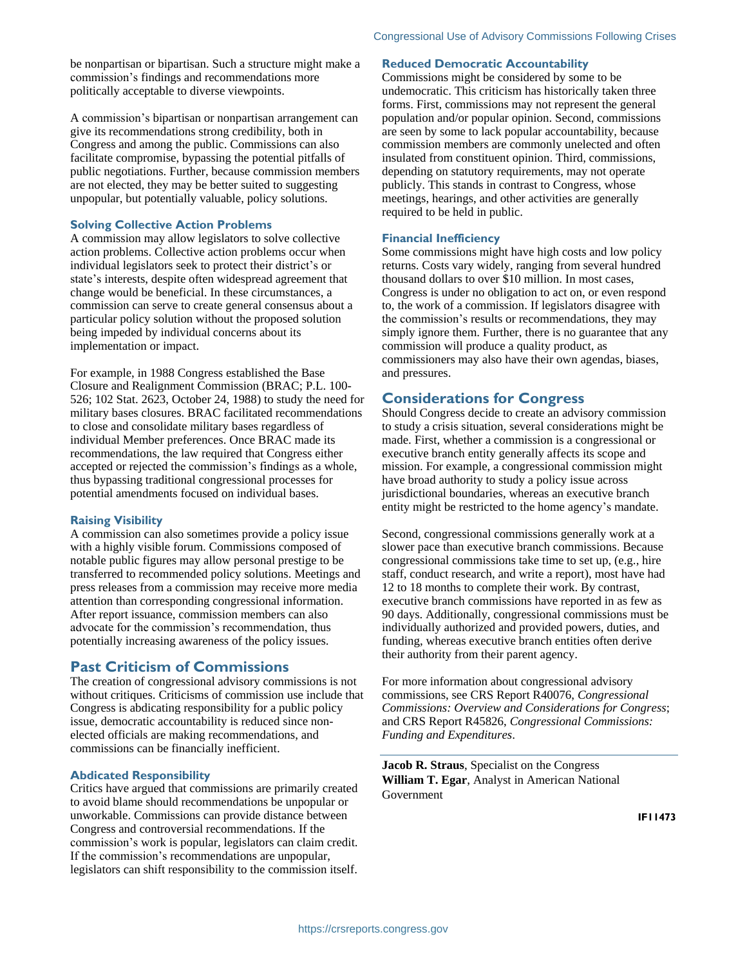be nonpartisan or bipartisan. Such a structure might make a commission's findings and recommendations more politically acceptable to diverse viewpoints.

A commission's bipartisan or nonpartisan arrangement can give its recommendations strong credibility, both in Congress and among the public. Commissions can also facilitate compromise, bypassing the potential pitfalls of public negotiations. Further, because commission members are not elected, they may be better suited to suggesting unpopular, but potentially valuable, policy solutions.

#### **Solving Collective Action Problems**

A commission may allow legislators to solve collective action problems. Collective action problems occur when individual legislators seek to protect their district's or state's interests, despite often widespread agreement that change would be beneficial. In these circumstances, a commission can serve to create general consensus about a particular policy solution without the proposed solution being impeded by individual concerns about its implementation or impact.

For example, in 1988 Congress established the Base Closure and Realignment Commission (BRAC; P.L. 100- 526; 102 Stat. 2623, October 24, 1988) to study the need for military bases closures. BRAC facilitated recommendations to close and consolidate military bases regardless of individual Member preferences. Once BRAC made its recommendations, the law required that Congress either accepted or rejected the commission's findings as a whole, thus bypassing traditional congressional processes for potential amendments focused on individual bases.

#### **Raising Visibility**

A commission can also sometimes provide a policy issue with a highly visible forum. Commissions composed of notable public figures may allow personal prestige to be transferred to recommended policy solutions. Meetings and press releases from a commission may receive more media attention than corresponding congressional information. After report issuance, commission members can also advocate for the commission's recommendation, thus potentially increasing awareness of the policy issues.

# **Past Criticism of Commissions**

The creation of congressional advisory commissions is not without critiques. Criticisms of commission use include that Congress is abdicating responsibility for a public policy issue, democratic accountability is reduced since nonelected officials are making recommendations, and commissions can be financially inefficient.

#### **Abdicated Responsibility**

Critics have argued that commissions are primarily created to avoid blame should recommendations be unpopular or unworkable. Commissions can provide distance between Congress and controversial recommendations. If the commission's work is popular, legislators can claim credit. If the commission's recommendations are unpopular, legislators can shift responsibility to the commission itself.

#### **Reduced Democratic Accountability**

Commissions might be considered by some to be undemocratic. This criticism has historically taken three forms. First, commissions may not represent the general population and/or popular opinion. Second, commissions are seen by some to lack popular accountability, because commission members are commonly unelected and often insulated from constituent opinion. Third, commissions, depending on statutory requirements, may not operate publicly. This stands in contrast to Congress, whose meetings, hearings, and other activities are generally required to be held in public.

#### **Financial Inefficiency**

Some commissions might have high costs and low policy returns. Costs vary widely, ranging from several hundred thousand dollars to over \$10 million. In most cases, Congress is under no obligation to act on, or even respond to, the work of a commission. If legislators disagree with the commission's results or recommendations, they may simply ignore them. Further, there is no guarantee that any commission will produce a quality product, as commissioners may also have their own agendas, biases, and pressures.

# **Considerations for Congress**

Should Congress decide to create an advisory commission to study a crisis situation, several considerations might be made. First, whether a commission is a congressional or executive branch entity generally affects its scope and mission. For example, a congressional commission might have broad authority to study a policy issue across jurisdictional boundaries, whereas an executive branch entity might be restricted to the home agency's mandate.

Second, congressional commissions generally work at a slower pace than executive branch commissions. Because congressional commissions take time to set up, (e.g., hire staff, conduct research, and write a report), most have had 12 to 18 months to complete their work. By contrast, executive branch commissions have reported in as few as 90 days. Additionally, congressional commissions must be individually authorized and provided powers, duties, and funding, whereas executive branch entities often derive their authority from their parent agency.

For more information about congressional advisory commissions, see CRS Report R40076, *Congressional Commissions: Overview and Considerations for Congress*; and CRS Report R45826, *Congressional Commissions: Funding and Expenditures*.

**Jacob R. Straus**, Specialist on the Congress **William T. Egar**, Analyst in American National Government

**IF11473**